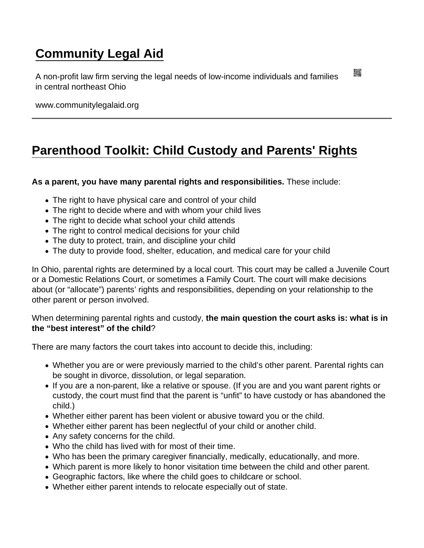## [Community Legal Aid](https://www.communitylegalaid.org/)

A non-profit law firm serving the legal needs of low-income individuals and families in central northeast Ohio

www.communitylegalaid.org

## [Parenthood Toolkit: Child Custody and Parents' Rights](https://www.communitylegalaid.org/parenthood/toolkit/custody)

As a parent, you have many parental rights and responsibilities. These include:

- The right to have physical care and control of your child
- The right to decide where and with whom your child lives
- The right to decide what school your child attends
- The right to control medical decisions for your child
- The duty to protect, train, and discipline your child
- The duty to provide food, shelter, education, and medical care for your child

In Ohio, parental rights are determined by a local court. This court may be called a Juvenile Court or a Domestic Relations Court, or sometimes a Family Court. The court will make decisions about (or "allocate") parents' rights and responsibilities, depending on your relationship to the other parent or person involved.

When determining parental rights and custody, the main question the court asks is: what is in the "best interest" of the child ?

There are many factors the court takes into account to decide this, including:

- Whether you are or were previously married to the child's other parent. Parental rights can be sought in divorce, dissolution, or legal separation.
- If you are a non-parent, like a relative or spouse. (If you are and you want parent rights or custody, the court must find that the parent is "unfit" to have custody or has abandoned the child.)
- Whether either parent has been violent or abusive toward you or the child.
- Whether either parent has been neglectful of your child or another child.
- Any safety concerns for the child.
- Who the child has lived with for most of their time.
- Who has been the primary caregiver financially, medically, educationally, and more.
- Which parent is more likely to honor visitation time between the child and other parent.
- Geographic factors, like where the child goes to childcare or school.
- Whether either parent intends to relocate especially out of state.